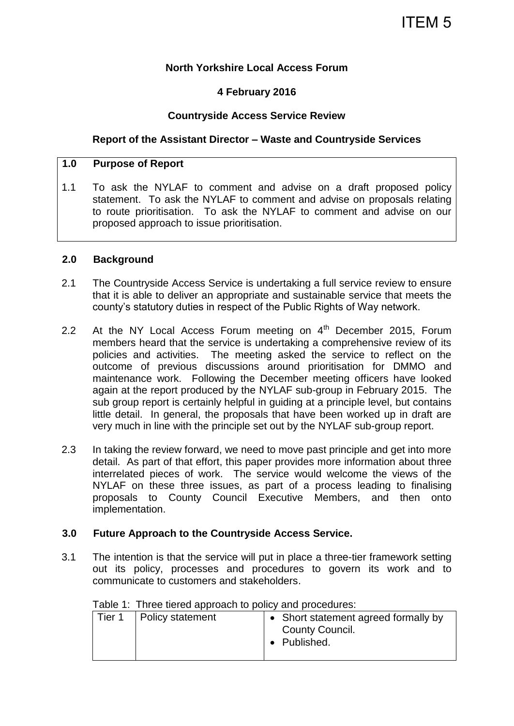## **North Yorkshire Local Access Forum**

## **4 February 2016**

## **Countryside Access Service Review**

### **Report of the Assistant Director – Waste and Countryside Services**

### **1.0 Purpose of Report**

1.1 To ask the NYLAF to comment and advise on a draft proposed policy statement. To ask the NYLAF to comment and advise on proposals relating to route prioritisation. To ask the NYLAF to comment and advise on our proposed approach to issue prioritisation.

#### **2.0 Background**

- 2.1 The Countryside Access Service is undertaking a full service review to ensure that it is able to deliver an appropriate and sustainable service that meets the county's statutory duties in respect of the Public Rights of Way network.
- 2.2 At the NY Local Access Forum meeting on  $4<sup>th</sup>$  December 2015, Forum members heard that the service is undertaking a comprehensive review of its policies and activities. The meeting asked the service to reflect on the outcome of previous discussions around prioritisation for DMMO and maintenance work. Following the December meeting officers have looked again at the report produced by the NYLAF sub-group in February 2015. The sub group report is certainly helpful in guiding at a principle level, but contains little detail. In general, the proposals that have been worked up in draft are very much in line with the principle set out by the NYLAF sub-group report.
- 2.3 In taking the review forward, we need to move past principle and get into more detail. As part of that effort, this paper provides more information about three interrelated pieces of work. The service would welcome the views of the NYLAF on these three issues, as part of a process leading to finalising proposals to County Council Executive Members, and then onto implementation.

### **3.0 Future Approach to the Countryside Access Service.**

3.1 The intention is that the service will put in place a three-tier framework setting out its policy, processes and procedures to govern its work and to communicate to customers and stakeholders.

| Tier 1 | Policy statement | • Short statement agreed formally by<br>County Council.<br>• Published. |
|--------|------------------|-------------------------------------------------------------------------|

|  |  |  | Table 1: Three tiered approach to policy and procedures: |
|--|--|--|----------------------------------------------------------|
|  |  |  |                                                          |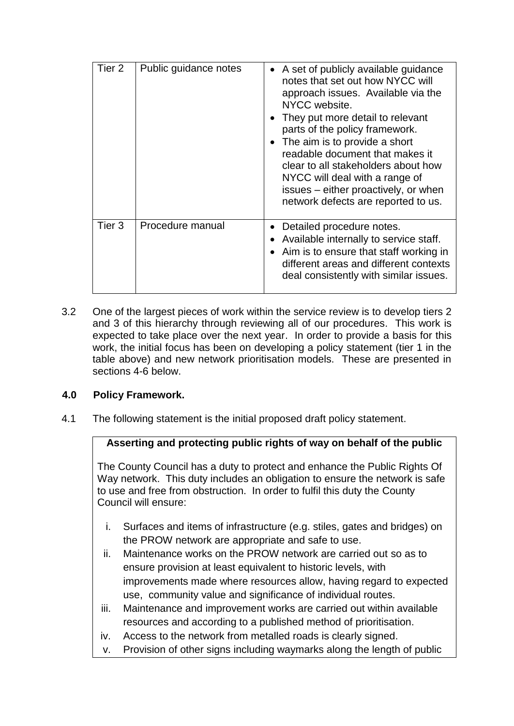| Tier 2 | Public guidance notes | • A set of publicly available guidance<br>notes that set out how NYCC will<br>approach issues. Available via the<br>NYCC website.<br>• They put more detail to relevant<br>parts of the policy framework.<br>• The aim is to provide a short<br>readable document that makes it<br>clear to all stakeholders about how<br>NYCC will deal with a range of<br>issues – either proactively, or when<br>network defects are reported to us. |
|--------|-----------------------|-----------------------------------------------------------------------------------------------------------------------------------------------------------------------------------------------------------------------------------------------------------------------------------------------------------------------------------------------------------------------------------------------------------------------------------------|
| Tier 3 | Procedure manual      | Detailed procedure notes.<br>Available internally to service staff.<br>Aim is to ensure that staff working in<br>different areas and different contexts<br>deal consistently with similar issues.                                                                                                                                                                                                                                       |

3.2 One of the largest pieces of work within the service review is to develop tiers 2 and 3 of this hierarchy through reviewing all of our procedures. This work is expected to take place over the next year. In order to provide a basis for this work, the initial focus has been on developing a policy statement (tier 1 in the table above) and new network prioritisation models. These are presented in sections 4-6 below.

## **4.0 Policy Framework.**

4.1 The following statement is the initial proposed draft policy statement.

## **Asserting and protecting public rights of way on behalf of the public**

The County Council has a duty to protect and enhance the Public Rights Of Way network. This duty includes an obligation to ensure the network is safe to use and free from obstruction. In order to fulfil this duty the County Council will ensure:

- i. Surfaces and items of infrastructure (e.g. stiles, gates and bridges) on the PROW network are appropriate and safe to use.
- ii. Maintenance works on the PROW network are carried out so as to ensure provision at least equivalent to historic levels, with improvements made where resources allow, having regard to expected use, community value and significance of individual routes.
- iii. Maintenance and improvement works are carried out within available resources and according to a published method of prioritisation.
- iv. Access to the network from metalled roads is clearly signed.
- v. Provision of other signs including waymarks along the length of public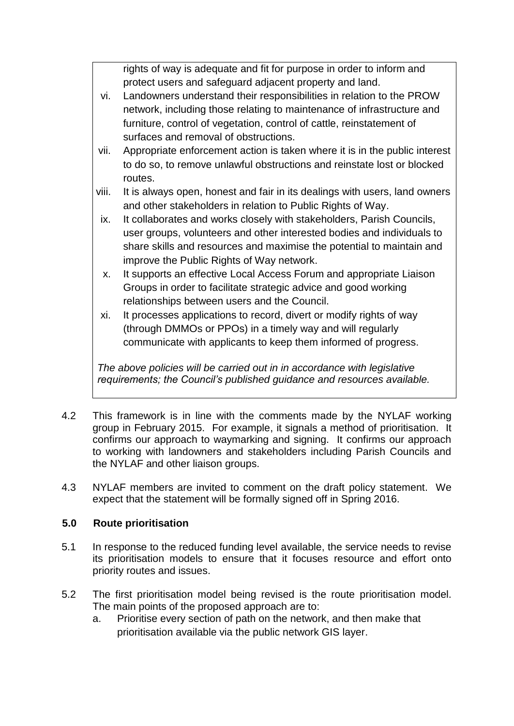rights of way is adequate and fit for purpose in order to inform and protect users and safeguard adjacent property and land.

- vi. Landowners understand their responsibilities in relation to the PROW network, including those relating to maintenance of infrastructure and furniture, control of vegetation, control of cattle, reinstatement of surfaces and removal of obstructions.
- vii. Appropriate enforcement action is taken where it is in the public interest to do so, to remove unlawful obstructions and reinstate lost or blocked routes.
- viii. It is always open, honest and fair in its dealings with users, land owners and other stakeholders in relation to Public Rights of Way.
- ix. It collaborates and works closely with stakeholders, Parish Councils, user groups, volunteers and other interested bodies and individuals to share skills and resources and maximise the potential to maintain and improve the Public Rights of Way network.
- x. It supports an effective Local Access Forum and appropriate Liaison Groups in order to facilitate strategic advice and good working relationships between users and the Council.
- xi. It processes applications to record, divert or modify rights of way (through DMMOs or PPOs) in a timely way and will regularly communicate with applicants to keep them informed of progress.

*The above policies will be carried out in in accordance with legislative requirements; the Council's [published guidance](file:///C:/Users/igfieldi/AppData/Local/Microsoft/Windows/Temporary%20Internet%20Files/Content.Outlook/U4RLL9IP/151007%20Outline%20PROW%20Guidance%20document.docx) and resources available.*

- 4.2 This framework is in line with the comments made by the NYLAF working group in February 2015. For example, it signals a method of prioritisation. It confirms our approach to waymarking and signing. It confirms our approach to working with landowners and stakeholders including Parish Councils and the NYLAF and other liaison groups.
- 4.3 NYLAF members are invited to comment on the draft policy statement. We expect that the statement will be formally signed off in Spring 2016.

# **5.0 Route prioritisation**

- 5.1 In response to the reduced funding level available, the service needs to revise its prioritisation models to ensure that it focuses resource and effort onto priority routes and issues.
- 5.2 The first prioritisation model being revised is the route prioritisation model. The main points of the proposed approach are to:
	- a. Prioritise every section of path on the network, and then make that prioritisation available via the public network GIS layer.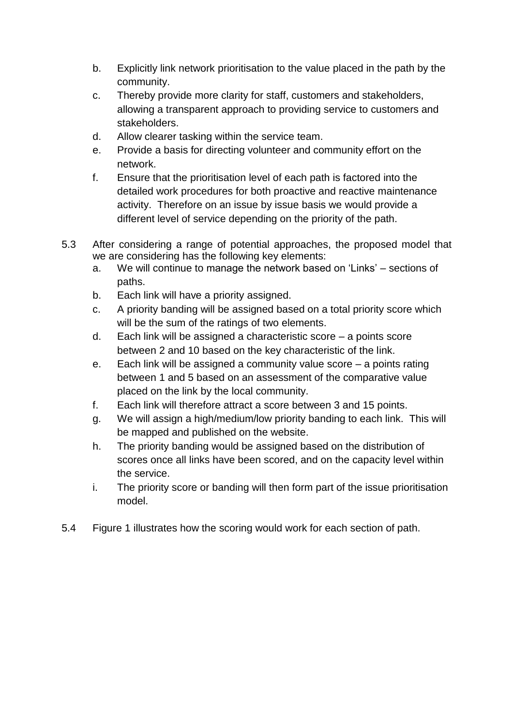- b. Explicitly link network prioritisation to the value placed in the path by the community.
- c. Thereby provide more clarity for staff, customers and stakeholders, allowing a transparent approach to providing service to customers and stakeholders.
- d. Allow clearer tasking within the service team.
- e. Provide a basis for directing volunteer and community effort on the network.
- f. Ensure that the prioritisation level of each path is factored into the detailed work procedures for both proactive and reactive maintenance activity. Therefore on an issue by issue basis we would provide a different level of service depending on the priority of the path.
- 5.3 After considering a range of potential approaches, the proposed model that we are considering has the following key elements:
	- a. We will continue to manage the network based on 'Links' sections of paths.
	- b. Each link will have a priority assigned.
	- c. A priority banding will be assigned based on a total priority score which will be the sum of the ratings of two elements.
	- d. Each link will be assigned a characteristic score a points score between 2 and 10 based on the key characteristic of the link.
	- e. Each link will be assigned a community value score a points rating between 1 and 5 based on an assessment of the comparative value placed on the link by the local community.
	- f. Each link will therefore attract a score between 3 and 15 points.
	- g. We will assign a high/medium/low priority banding to each link. This will be mapped and published on the website.
	- h. The priority banding would be assigned based on the distribution of scores once all links have been scored, and on the capacity level within the service.
	- i. The priority score or banding will then form part of the issue prioritisation model.
- 5.4 Figure 1 illustrates how the scoring would work for each section of path.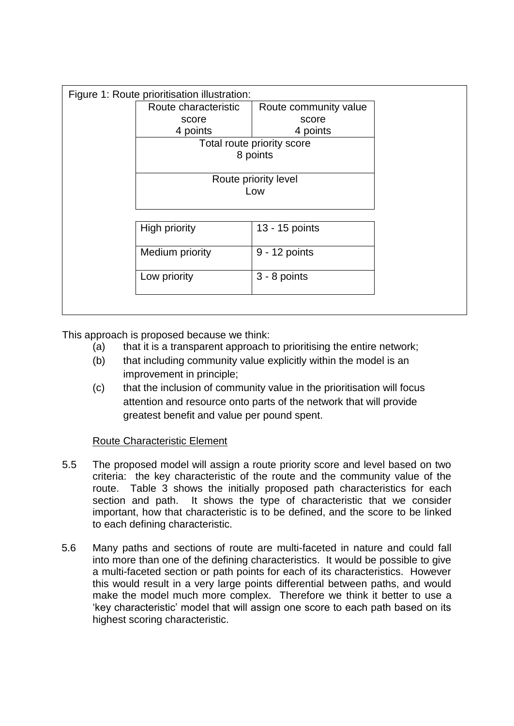| Figure 1: Route prioritisation illustration: |                       |  |
|----------------------------------------------|-----------------------|--|
| Route characteristic                         | Route community value |  |
| score                                        | score                 |  |
| 4 points                                     | 4 points              |  |
| Total route priority score                   |                       |  |
| 8 points                                     |                       |  |
|                                              |                       |  |
|                                              | Route priority level  |  |
| Low                                          |                       |  |
|                                              |                       |  |
| <b>High priority</b>                         | 13 - 15 points        |  |
| Medium priority                              | 9 - 12 points         |  |
| Low priority                                 | 3 - 8 points          |  |
|                                              |                       |  |

This approach is proposed because we think:

- (a) that it is a transparent approach to prioritising the entire network;
- (b) that including community value explicitly within the model is an improvement in principle;
- (c) that the inclusion of community value in the prioritisation will focus attention and resource onto parts of the network that will provide greatest benefit and value per pound spent.

## Route Characteristic Element

- 5.5 The proposed model will assign a route priority score and level based on two criteria: the key characteristic of the route and the community value of the route. Table 3 shows the initially proposed path characteristics for each section and path. It shows the type of characteristic that we consider important, how that characteristic is to be defined, and the score to be linked to each defining characteristic.
- 5.6 Many paths and sections of route are multi-faceted in nature and could fall into more than one of the defining characteristics. It would be possible to give a multi-faceted section or path points for each of its characteristics. However this would result in a very large points differential between paths, and would make the model much more complex. Therefore we think it better to use a 'key characteristic' model that will assign one score to each path based on its highest scoring characteristic.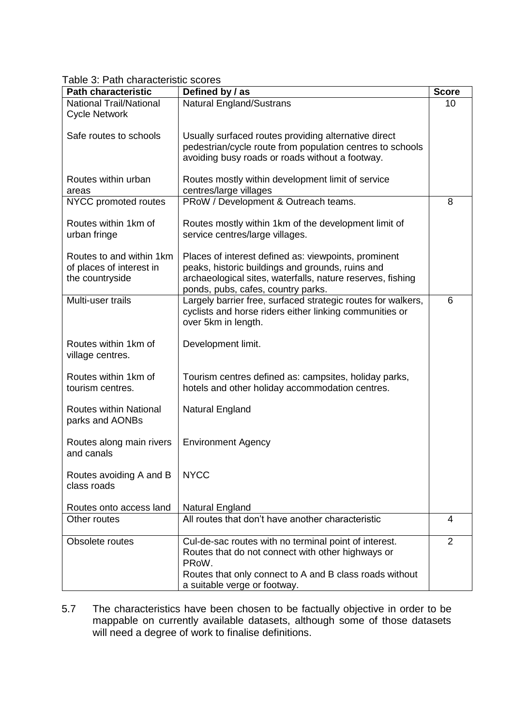Table 3: Path characteristic scores

| <b>Latiful diagnologie de la compo</b><br><b>Path characteristic</b> | Defined by / as                                                             | <b>Score</b> |
|----------------------------------------------------------------------|-----------------------------------------------------------------------------|--------------|
| <b>National Trail/National</b>                                       | <b>Natural England/Sustrans</b>                                             | 10           |
| <b>Cycle Network</b>                                                 |                                                                             |              |
|                                                                      |                                                                             |              |
| Safe routes to schools                                               | Usually surfaced routes providing alternative direct                        |              |
|                                                                      | pedestrian/cycle route from population centres to schools                   |              |
|                                                                      | avoiding busy roads or roads without a footway.                             |              |
| Routes within urban                                                  |                                                                             |              |
| areas                                                                | Routes mostly within development limit of service<br>centres/large villages |              |
| NYCC promoted routes                                                 | PRoW / Development & Outreach teams.                                        | 8            |
|                                                                      |                                                                             |              |
| Routes within 1km of                                                 | Routes mostly within 1km of the development limit of                        |              |
| urban fringe                                                         | service centres/large villages.                                             |              |
|                                                                      |                                                                             |              |
| Routes to and within 1km                                             | Places of interest defined as: viewpoints, prominent                        |              |
| of places of interest in                                             | peaks, historic buildings and grounds, ruins and                            |              |
| the countryside                                                      | archaeological sites, waterfalls, nature reserves, fishing                  |              |
|                                                                      | ponds, pubs, cafes, country parks.                                          |              |
| Multi-user trails                                                    | Largely barrier free, surfaced strategic routes for walkers,                | 6            |
|                                                                      | cyclists and horse riders either linking communities or                     |              |
|                                                                      | over 5km in length.                                                         |              |
| Routes within 1km of                                                 | Development limit.                                                          |              |
| village centres.                                                     |                                                                             |              |
|                                                                      |                                                                             |              |
| Routes within 1km of                                                 | Tourism centres defined as: campsites, holiday parks,                       |              |
| tourism centres.                                                     | hotels and other holiday accommodation centres.                             |              |
|                                                                      |                                                                             |              |
| <b>Routes within National</b>                                        | Natural England                                                             |              |
| parks and AONBs                                                      |                                                                             |              |
|                                                                      |                                                                             |              |
| Routes along main rivers<br>and canals                               | <b>Environment Agency</b>                                                   |              |
|                                                                      |                                                                             |              |
| Routes avoiding A and B                                              | <b>NYCC</b>                                                                 |              |
| class roads                                                          |                                                                             |              |
|                                                                      |                                                                             |              |
| Routes onto access land                                              | <b>Natural England</b>                                                      |              |
| Other routes                                                         | All routes that don't have another characteristic                           | 4            |
|                                                                      |                                                                             |              |
| Obsolete routes                                                      | Cul-de-sac routes with no terminal point of interest.                       | 2            |
|                                                                      | Routes that do not connect with other highways or                           |              |
|                                                                      | PRoW.                                                                       |              |
|                                                                      | Routes that only connect to A and B class roads without                     |              |
|                                                                      | a suitable verge or footway.                                                |              |

5.7 The characteristics have been chosen to be factually objective in order to be mappable on currently available datasets, although some of those datasets will need a degree of work to finalise definitions.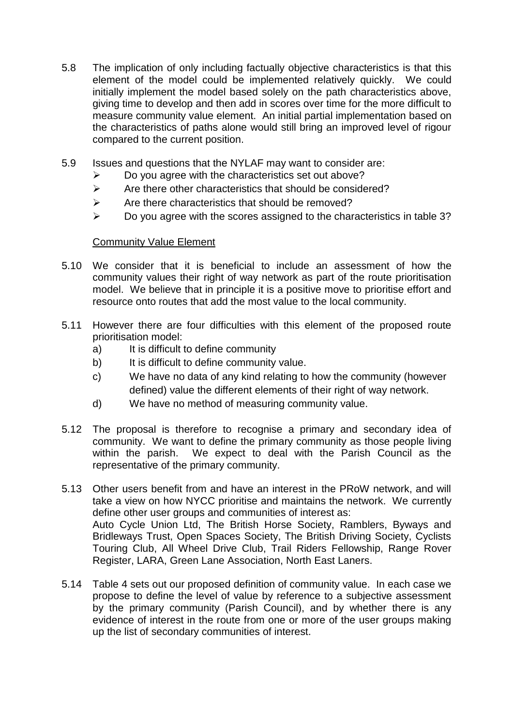- 5.8 The implication of only including factually objective characteristics is that this element of the model could be implemented relatively quickly. We could initially implement the model based solely on the path characteristics above, giving time to develop and then add in scores over time for the more difficult to measure community value element. An initial partial implementation based on the characteristics of paths alone would still bring an improved level of rigour compared to the current position.
- 5.9 Issues and questions that the NYLAF may want to consider are:
	- $\triangleright$  Do you agree with the characteristics set out above?
	- $\triangleright$  Are there other characteristics that should be considered?
	- $\triangleright$  Are there characteristics that should be removed?
	- $\triangleright$  Do you agree with the scores assigned to the characteristics in table 3?

### Community Value Element

- 5.10 We consider that it is beneficial to include an assessment of how the community values their right of way network as part of the route prioritisation model. We believe that in principle it is a positive move to prioritise effort and resource onto routes that add the most value to the local community.
- 5.11 However there are four difficulties with this element of the proposed route prioritisation model:
	- a) It is difficult to define community
	- b) It is difficult to define community value.
	- c) We have no data of any kind relating to how the community (however defined) value the different elements of their right of way network.
	- d) We have no method of measuring community value.
- 5.12 The proposal is therefore to recognise a primary and secondary idea of community. We want to define the primary community as those people living within the parish. We expect to deal with the Parish Council as the representative of the primary community.
- 5.13 Other users benefit from and have an interest in the PRoW network, and will take a view on how NYCC prioritise and maintains the network. We currently define other user groups and communities of interest as: Auto Cycle Union Ltd, The British Horse Society, Ramblers, Byways and Bridleways Trust, Open Spaces Society, The British Driving Society, Cyclists Touring Club, All Wheel Drive Club, Trail Riders Fellowship, Range Rover Register, LARA, Green Lane Association, North East Laners.
- 5.14 Table 4 sets out our proposed definition of community value. In each case we propose to define the level of value by reference to a subjective assessment by the primary community (Parish Council), and by whether there is any evidence of interest in the route from one or more of the user groups making up the list of secondary communities of interest.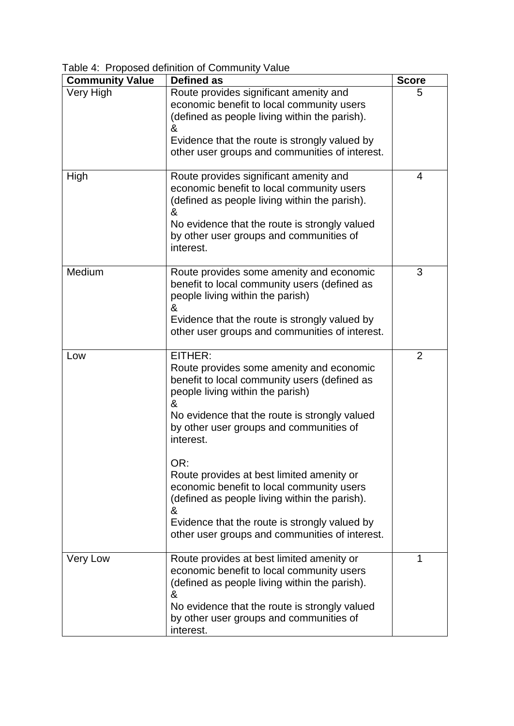Table 4: Proposed definition of Community Value

| <b>Community Value</b> | <b>Defined as</b>                                                                                                                                                                                                                                      | <b>Score</b> |  |
|------------------------|--------------------------------------------------------------------------------------------------------------------------------------------------------------------------------------------------------------------------------------------------------|--------------|--|
| Very High              | Route provides significant amenity and<br>economic benefit to local community users<br>(defined as people living within the parish).<br>&<br>Evidence that the route is strongly valued by<br>other user groups and communities of interest.           | 5            |  |
| High                   | Route provides significant amenity and<br>economic benefit to local community users<br>(defined as people living within the parish).<br>&<br>No evidence that the route is strongly valued<br>by other user groups and communities of<br>interest.     | 4            |  |
| Medium                 | Route provides some amenity and economic<br>benefit to local community users (defined as<br>people living within the parish)<br>&<br>Evidence that the route is strongly valued by<br>other user groups and communities of interest.                   | 3            |  |
| Low                    | EITHER:<br>Route provides some amenity and economic<br>benefit to local community users (defined as<br>people living within the parish)<br>&<br>No evidence that the route is strongly valued<br>by other user groups and communities of<br>interest.  | 2            |  |
|                        | OR:<br>Route provides at best limited amenity or<br>economic benefit to local community users<br>(defined as people living within the parish).<br>&<br>Evidence that the route is strongly valued by<br>other user groups and communities of interest. |              |  |
| Very Low               | Route provides at best limited amenity or<br>economic benefit to local community users<br>(defined as people living within the parish).<br>&<br>No evidence that the route is strongly valued<br>by other user groups and communities of<br>interest.  | 1            |  |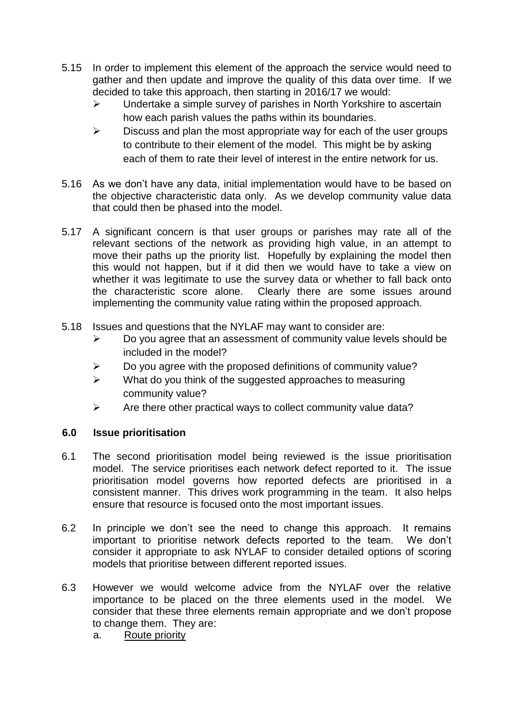- 5.15 In order to implement this element of the approach the service would need to gather and then update and improve the quality of this data over time. If we decided to take this approach, then starting in 2016/17 we would:
	- $\triangleright$  Undertake a simple survey of parishes in North Yorkshire to ascertain how each parish values the paths within its boundaries.
	- $\triangleright$  Discuss and plan the most appropriate way for each of the user groups to contribute to their element of the model. This might be by asking each of them to rate their level of interest in the entire network for us.
- 5.16 As we don't have any data, initial implementation would have to be based on the objective characteristic data only. As we develop community value data that could then be phased into the model.
- 5.17 A significant concern is that user groups or parishes may rate all of the relevant sections of the network as providing high value, in an attempt to move their paths up the priority list. Hopefully by explaining the model then this would not happen, but if it did then we would have to take a view on whether it was legitimate to use the survey data or whether to fall back onto the characteristic score alone. Clearly there are some issues around implementing the community value rating within the proposed approach.
- 5.18 Issues and questions that the NYLAF may want to consider are:
	- $\triangleright$  Do you agree that an assessment of community value levels should be included in the model?
	- $\triangleright$  Do you agree with the proposed definitions of community value?
	- $\triangleright$  What do you think of the suggested approaches to measuring community value?
	- $\triangleright$  Are there other practical ways to collect community value data?

## **6.0 Issue prioritisation**

- 6.1 The second prioritisation model being reviewed is the issue prioritisation model. The service prioritises each network defect reported to it. The issue prioritisation model governs how reported defects are prioritised in a consistent manner. This drives work programming in the team. It also helps ensure that resource is focused onto the most important issues.
- 6.2 In principle we don't see the need to change this approach. It remains important to prioritise network defects reported to the team. We don't consider it appropriate to ask NYLAF to consider detailed options of scoring models that prioritise between different reported issues.
- 6.3 However we would welcome advice from the NYLAF over the relative importance to be placed on the three elements used in the model. We consider that these three elements remain appropriate and we don't propose to change them. They are:
	- a. Route priority